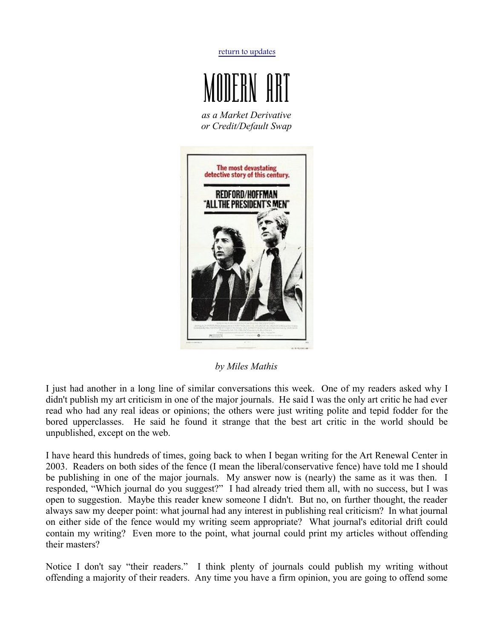[return to updates](http://mileswmathis.com/updates.html)



 *as a Market Derivative or Credit/Default Swap*



*by Miles Mathis*

I just had another in a long line of similar conversations this week. One of my readers asked why I didn't publish my art criticism in one of the major journals. He said I was the only art critic he had ever read who had any real ideas or opinions; the others were just writing polite and tepid fodder for the bored upperclasses. He said he found it strange that the best art critic in the world should be unpublished, except on the web.

I have heard this hundreds of times, going back to when I began writing for the Art Renewal Center in 2003. Readers on both sides of the fence (I mean the liberal/conservative fence) have told me I should be publishing in one of the major journals. My answer now is (nearly) the same as it was then. I responded, "Which journal do you suggest?" I had already tried them all, with no success, but I was open to suggestion. Maybe this reader knew someone I didn't. But no, on further thought, the reader always saw my deeper point: what journal had any interest in publishing real criticism? In what journal on either side of the fence would my writing seem appropriate? What journal's editorial drift could contain my writing? Even more to the point, what journal could print my articles without offending their masters?

Notice I don't say "their readers." I think plenty of journals could publish my writing without offending a majority of their readers. Any time you have a firm opinion, you are going to offend some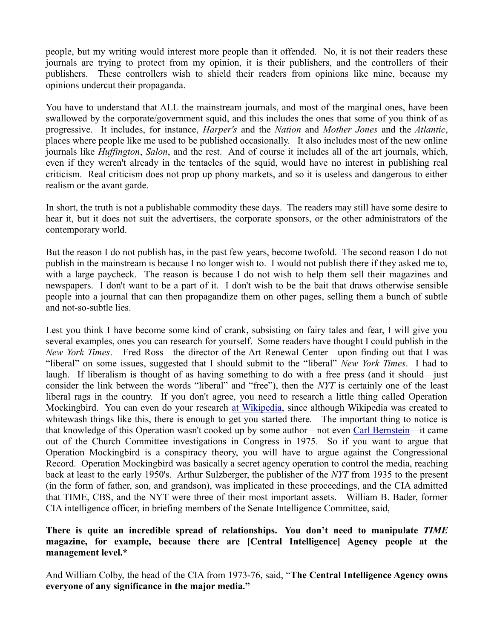people, but my writing would interest more people than it offended. No, it is not their readers these journals are trying to protect from my opinion, it is their publishers, and the controllers of their publishers. These controllers wish to shield their readers from opinions like mine, because my opinions undercut their propaganda.

You have to understand that ALL the mainstream journals, and most of the marginal ones, have been swallowed by the corporate/government squid, and this includes the ones that some of you think of as progressive. It includes, for instance, *Harper's* and the *Nation* and *Mother Jones* and the *Atlantic*, places where people like me used to be published occasionally. It also includes most of the new online journals like *Huffington*, *Salon*, and the rest. And of course it includes all of the art journals, which, even if they weren't already in the tentacles of the squid, would have no interest in publishing real criticism. Real criticism does not prop up phony markets, and so it is useless and dangerous to either realism or the avant garde.

In short, the truth is not a publishable commodity these days. The readers may still have some desire to hear it, but it does not suit the advertisers, the corporate sponsors, or the other administrators of the contemporary world.

But the reason I do not publish has, in the past few years, become twofold. The second reason I do not publish in the mainstream is because I no longer wish to. I would not publish there if they asked me to, with a large paycheck. The reason is because I do not wish to help them sell their magazines and newspapers. I don't want to be a part of it. I don't wish to be the bait that draws otherwise sensible people into a journal that can then propagandize them on other pages, selling them a bunch of subtle and not-so-subtle lies.

Lest you think I have become some kind of crank, subsisting on fairy tales and fear, I will give you several examples, ones you can research for yourself. Some readers have thought I could publish in the *New York Times*. Fred Ross—the director of the Art Renewal Center—upon finding out that I was "liberal" on some issues, suggested that I should submit to the "liberal" *New York Times*. I had to laugh. If liberalism is thought of as having something to do with a free press (and it should—just consider the link between the words "liberal" and "free"), then the *NYT* is certainly one of the least liberal rags in the country. If you don't agree, you need to research a little thing called Operation Mockingbird. You can even do your research [at Wikipedia,](http://en.wikipedia.org/wiki/Operation_Mockingbird) since although Wikipedia was created to whitewash things like this, there is enough to get you started there. The important thing to notice is that knowledge of this Operation wasn't cooked up by some author—not even [Carl Bernstein—](http://www.amazon.com/CIA-media-Carl-Bernstein/dp/B0006YENJO/ref=sr_1_5?ie=UTF8&qid=1320704530&sr=8-5)it came out of the Church Committee investigations in Congress in 1975. So if you want to argue that Operation Mockingbird is a conspiracy theory, you will have to argue against the Congressional Record. Operation Mockingbird was basically a secret agency operation to control the media, reaching back at least to the early 1950's. Arthur Sulzberger, the publisher of the *NYT* from 1935 to the present (in the form of father, son, and grandson), was implicated in these proceedings, and the CIA admitted that TIME, CBS, and the NYT were three of their most important assets. William B. Bader, former CIA intelligence officer, in briefing members of the Senate Intelligence Committee, said,

## **There is quite an incredible spread of relationships. You don't need to manipulate** *TIME* **magazine, for example, because there are [Central Intelligence] Agency people at the management level.\***

And William Colby, the head of the CIA from 1973-76, said, "**The Central Intelligence Agency owns everyone of any significance in the major media."**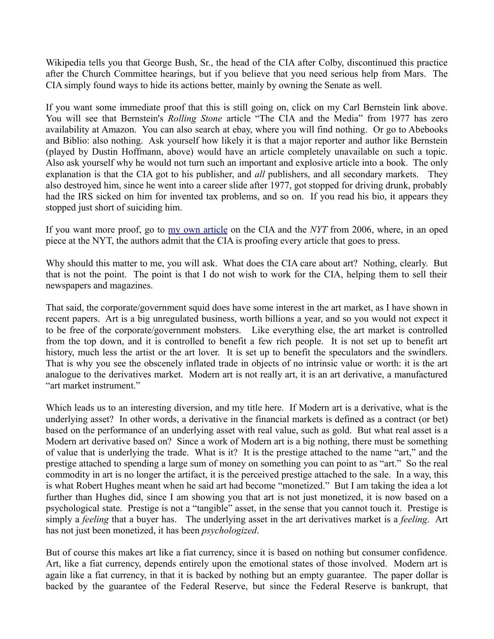Wikipedia tells you that George Bush, Sr., the head of the CIA after Colby, discontinued this practice after the Church Committee hearings, but if you believe that you need serious help from Mars. The CIA simply found ways to hide its actions better, mainly by owning the Senate as well.

If you want some immediate proof that this is still going on, click on my Carl Bernstein link above. You will see that Bernstein's *Rolling Stone* article "The CIA and the Media" from 1977 has zero availability at Amazon. You can also search at ebay, where you will find nothing. Or go to Abebooks and Biblio: also nothing. Ask yourself how likely it is that a major reporter and author like Bernstein (played by Dustin Hoffmann, above) would have an article completely unavailable on such a topic. Also ask yourself why he would not turn such an important and explosive article into a book. The only explanation is that the CIA got to his publisher, and *all* publishers, and all secondary markets. They also destroyed him, since he went into a career slide after 1977, got stopped for driving drunk, probably had the IRS sicked on him for invented tax problems, and so on. If you read his bio, it appears they stopped just short of suiciding him.

If you want more proof, go to [my own article](http://mileswmathis.com/redact.html) on the CIA and the *NYT* from 2006, where, in an oped piece at the NYT, the authors admit that the CIA is proofing every article that goes to press.

Why should this matter to me, you will ask. What does the CIA care about art? Nothing, clearly. But that is not the point. The point is that I do not wish to work for the CIA, helping them to sell their newspapers and magazines.

That said, the corporate/government squid does have some interest in the art market, as I have shown in recent papers. Art is a big unregulated business, worth billions a year, and so you would not expect it to be free of the corporate/government mobsters. Like everything else, the art market is controlled from the top down, and it is controlled to benefit a few rich people. It is not set up to benefit art history, much less the artist or the art lover. It is set up to benefit the speculators and the swindlers. That is why you see the obscenely inflated trade in objects of no intrinsic value or worth: it is the art analogue to the derivatives market. Modern art is not really art, it is an art derivative, a manufactured "art market instrument."

Which leads us to an interesting diversion, and my title here. If Modern art is a derivative, what is the underlying asset? In other words, a derivative in the financial markets is defined as a contract (or bet) based on the performance of an underlying asset with real value, such as gold. But what real asset is a Modern art derivative based on? Since a work of Modern art is a big nothing, there must be something of value that is underlying the trade. What is it? It is the prestige attached to the name "art," and the prestige attached to spending a large sum of money on something you can point to as "art." So the real commodity in art is no longer the artifact, it is the perceived prestige attached to the sale. In a way, this is what Robert Hughes meant when he said art had become "monetized." But I am taking the idea a lot further than Hughes did, since I am showing you that art is not just monetized, it is now based on a psychological state. Prestige is not a "tangible" asset, in the sense that you cannot touch it. Prestige is simply a *feeling* that a buyer has. The underlying asset in the art derivatives market is a *feeling*. Art has not just been monetized, it has been *psychologized*.

But of course this makes art like a fiat currency, since it is based on nothing but consumer confidence. Art, like a fiat currency, depends entirely upon the emotional states of those involved. Modern art is again like a fiat currency, in that it is backed by nothing but an empty guarantee. The paper dollar is backed by the guarantee of the Federal Reserve, but since the Federal Reserve is bankrupt, that